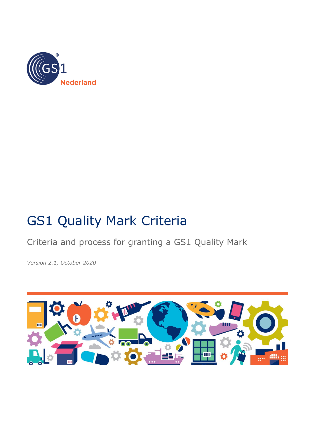

# GS1 Quality Mark Criteria

Criteria and process for granting a GS1 Quality Mark

*Version 2.1, October 2020*

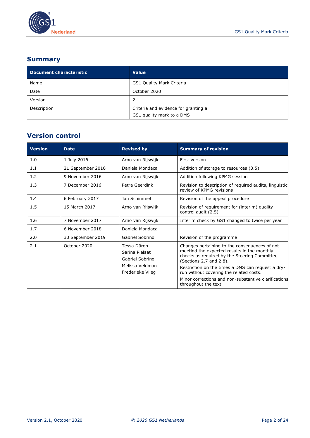

# **Summary**

| Document characteristic | <b>Value</b>                                                      |
|-------------------------|-------------------------------------------------------------------|
| Name                    | GS1 Quality Mark Criteria                                         |
| Date                    | October 2020                                                      |
| Version                 | 2.1                                                               |
| Description             | Criteria and evidence for granting a<br>GS1 quality mark to a DMS |

# **Version control**

| <b>Version</b> | <b>Date</b>       | <b>Revised by</b>                                                                       | <b>Summary of revision</b>                                                                                                                                                                                                                                                                                                                               |
|----------------|-------------------|-----------------------------------------------------------------------------------------|----------------------------------------------------------------------------------------------------------------------------------------------------------------------------------------------------------------------------------------------------------------------------------------------------------------------------------------------------------|
| 1.0            | 1 July 2016       | Arno van Rijswijk                                                                       | First version                                                                                                                                                                                                                                                                                                                                            |
| 1.1            | 21 September 2016 | Daniela Mondaca                                                                         | Addition of storage to resources (3.5)                                                                                                                                                                                                                                                                                                                   |
| 1.2            | 9 November 2016   | Arno van Rijswijk                                                                       | Addition following KPMG session                                                                                                                                                                                                                                                                                                                          |
| 1.3            | 7 December 2016   | Petra Geerdink                                                                          | Revision to description of required audits, linguistic<br>review of KPMG revisions                                                                                                                                                                                                                                                                       |
| 1.4            | 6 February 2017   | Jan Schimmel                                                                            | Revision of the appeal procedure                                                                                                                                                                                                                                                                                                                         |
| 1.5            | 15 March 2017     | Arno van Rijswijk                                                                       | Revision of requirement for (interim) quality<br>control audit (2.5)                                                                                                                                                                                                                                                                                     |
| 1.6            | 7 November 2017   | Arno van Rijswijk                                                                       | Interim check by GS1 changed to twice per year                                                                                                                                                                                                                                                                                                           |
| 1.7            | 6 November 2018   | Daniela Mondaca                                                                         |                                                                                                                                                                                                                                                                                                                                                          |
| 2.0            | 30 September 2019 | Gabriel Sobrino                                                                         | Revision of the programme                                                                                                                                                                                                                                                                                                                                |
| 2.1            | October 2020      | Tessa Düren<br>Sarina Pielaat<br>Gabriel Sobrino<br>Melissa Veldman<br>Frederieke Vlieg | Changes pertaining to the consequences of not<br>meetind the expected results in the monthly<br>checks as required by the Steering Committee.<br>(Sections 2.7 and 2.8).<br>Restriction on the times a DMS can request a dry-<br>run without covering the related costs.<br>Minor corrections and non-substantive clarifications<br>throughout the text. |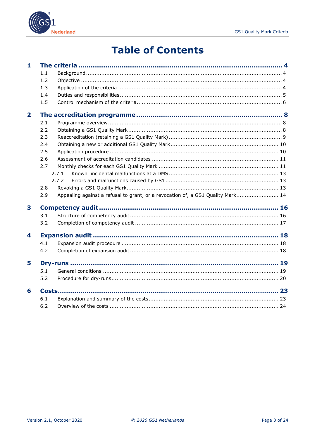

# **Table of Contents**

| $\mathbf{1}$            |     |                                                                                 |  |
|-------------------------|-----|---------------------------------------------------------------------------------|--|
|                         | 1.1 |                                                                                 |  |
|                         | 1.2 |                                                                                 |  |
|                         | 1.3 |                                                                                 |  |
|                         | 1.4 |                                                                                 |  |
|                         | 1.5 |                                                                                 |  |
| $\overline{\mathbf{2}}$ |     |                                                                                 |  |
|                         | 2.1 |                                                                                 |  |
|                         | 2.2 |                                                                                 |  |
|                         | 2.3 |                                                                                 |  |
|                         | 2.4 |                                                                                 |  |
|                         | 2.5 |                                                                                 |  |
|                         | 2.6 |                                                                                 |  |
|                         | 2.7 |                                                                                 |  |
|                         |     | 2.7.1                                                                           |  |
|                         |     | 2.7.2                                                                           |  |
|                         | 2.8 |                                                                                 |  |
|                         | 2.9 | Appealing against a refusal to grant, or a revocation of, a GS1 Quality Mark 14 |  |
| 3                       |     |                                                                                 |  |
|                         | 3.1 |                                                                                 |  |
|                         | 3.2 |                                                                                 |  |
| 4                       |     |                                                                                 |  |
|                         | 4.1 |                                                                                 |  |
|                         | 4.2 |                                                                                 |  |
| 5                       |     |                                                                                 |  |
|                         | 5.1 |                                                                                 |  |
|                         | 5.2 |                                                                                 |  |
| 6                       |     |                                                                                 |  |
|                         | 6.1 |                                                                                 |  |
|                         | 6.2 |                                                                                 |  |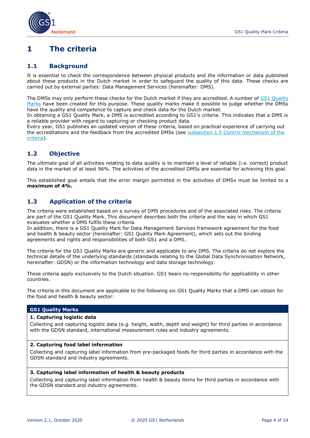

# <span id="page-3-0"></span>**1 The criteria**

#### <span id="page-3-1"></span>**1.1 Background**

It is essential to check the correspondence between physical products and the information or data published about these products in the Dutch market in order to safeguard the quality of this data. These checks are carried out by external parties: Data Management Services (hereinafter: DMS).

The DMSs may only perform these checks for the Dutch market if they are accredited. A number of [GS1 Quality](#page-3-3)  [Marks](#page-3-3) have been created for this purpose. These quality marks make it possible to judge whether the DMSs have the quality and competence to capture and check data for the Dutch market.

In obtaining a GS1 Quality Mark, a DMS is accredited according to GS1's criteria. This indicates that a DMS is a reliable provider with regard to capturing or checking product data.

Every year, GS1 publishes an updated version of these criteria, based on practical experience of carrying out the accreditations and the feedback from the accredited DMSs (see subsection 1.5 Control mechanism of the [criteria\)](#page-5-0).

# <span id="page-3-2"></span>**1.2 Objective**

The ultimate goal of all activities relating to data quality is to maintain a level of reliable (i.e. correct) product data in the market of at least 96%. The activities of the accredited DMSs are essential for achieving this goal.

This established goal entails that the error margin permitted in the activities of DMSs must be limited to a **maximum of 4%.**

## <span id="page-3-3"></span>**1.3 Application of the criteria**

The criteria were established based on a survey of DMS procedures and of the associated risks. The criteria are part of the GS1 Quality Mark. This document describes both the criteria and the way in which GS1 evaluates whether a DMS fulfils these criteria.

In addition, there is a GS1 Quality Mark for Data Management Services framework agreement for the food and health & beauty sector (hereinafter: GS1 Quality Mark Agreement), which sets out the binding agreements and rights and responsibilities of both GS1 and a DMS.

The criteria for the GS1 Quality Marks are generic and applicable to any DMS. The criteria do not explore the technical details of the underlying standards (standards relating to the Global Data Synchronisation Network, hereinafter: GDSN) or the information technology and data storage technology.

These criteria apply exclusively to the Dutch situation. GS1 bears no responsibility for applicability in other countries.

The criteria in this document are applicable to the following six GS1 Quality Marks that a DMS can obtain for the food and health & beauty sector:

#### **GS1 Quality Marks**

#### **1. Capturing logistic data**

Collecting and capturing logistic data (e.g. height, width, depth and weight) for third parties in accordance with the GDSN standard, international measurement rules and industry agreements.

#### **2. Capturing food label information**

Collecting and capturing label information from pre-packaged foods for third parties in accordance with the GDSN standard and industry agreements.

#### **3. Capturing label information of health & beauty products**

Collecting and capturing label information from health & beauty items for third parties in accordance with the GDSN standard and industry agreements.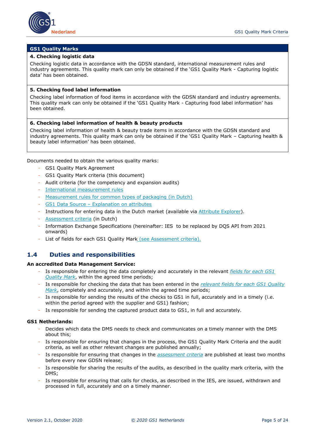

#### **GS1 Quality Marks**

#### **4. Checking logistic data**

Checking logistic data in accordance with the GDSN standard, international measurement rules and industry agreements. This quality mark can only be obtained if the 'GS1 Quality Mark - Capturing logistic data' has been obtained.

#### **5. Checking food label information**

Checking label information of food items in accordance with the GDSN standard and industry agreements. This quality mark can only be obtained if the 'GS1 Quality Mark - Capturing food label information' has been obtained.

#### **6. Checking label information of health & beauty products**

Checking label information of health & beauty trade items in accordance with the GDSN standard and industry agreements. This quality mark can only be obtained if the 'GS1 Quality Mark – Capturing health & beauty label information' has been obtained.

Documents needed to obtain the various quality marks:

- GS1 Quality Mark Agreement
- GS1 Quality Mark criteria (this document)
- Audit criteria (for the competency and expansion audits)
- [International measurement rules](http://www.gs1.org/docs/gdsn/3.1/GDSN_Package_Measurement_Rules.pdf)
- [Measurement rules for common types of packaging](https://www.gs1.nl/sectorafspraken-over-standaarden/levensmiddelen-en-drogisterij/gs1-data-source-levensmiddelen-en-1) (in Dutch)
- GS1 Data Source [Explanation on attributes](https://www.gs1.nl/en/industries/food-health-and-beauty/gs1-data-source/entering-data/attribute-explorer-attributes-list)
- Instructions for entering data in the Dutch market (available via [Attribute Explorer\)](https://www.gs1.nl/en/industries/food-health-and-beauty/gs1-data-source/entering-data/attribute-explorer-attributes-list).
- [Assessment criteria](https://www.gs1.nl/sectoren/levensmiddelen-en-drogisterij/datakwalitijd-20-correcte-productinformatie/data-management-2) (in Dutch)
- Information Exchange Specifications (hereinafter: IES to be replaced by DQS API from 2021 onwards)
- List of fields for each GS1 Quality Mark (see Assessment criteria).

### <span id="page-4-0"></span>**1.4 Duties and responsibilities**

#### **An accredited Data Management Service:**

- Is responsible for entering the data completely and accurately in the relevant *[fields for each GS1](https://www.gs1.nl/velden-data-management-service-controleert)  [Quality Mark](https://www.gs1.nl/velden-data-management-service-controleert)*, within the agreed time periods;
- Is responsible for checking the data that has been entered in the *[relevant fields for each GS1 Quality](https://www.gs1.nl/velden-data-management-service-controleert)  [Mark](https://www.gs1.nl/velden-data-management-service-controleert)*, completely and accurately, and within the agreed time periods;
- Is responsible for sending the results of the checks to GS1 in full, accurately and in a timely (i.e. within the period agreed with the supplier and GS1) fashion;
- Is responsible for sending the captured product data to GS1, in full and accurately.

#### **GS1 Netherlands:**

- Decides which data the DMS needs to check and communicates on a timely manner with the DMS about this;
- Is responsible for ensuring that changes in the process, the GS1 Quality Mark Criteria and the audit criteria, as well as other relevant changes are published annually;
- Is responsible for ensuring that changes in the *[assessment criteria](https://www.gs1.nl/sectoren/levensmiddelen-en-drogisterij/datakwalitijd-20-correcte-productinformatie/data-management-2)* are published at least two months before every new GDSN release;
- Is responsible for sharing the results of the audits, as described in the quality mark criteria, with the DMS;
- Is responsible for ensuring that calls for checks, as described in the IES, are issued, withdrawn and processed in full, accurately and on a timely manner.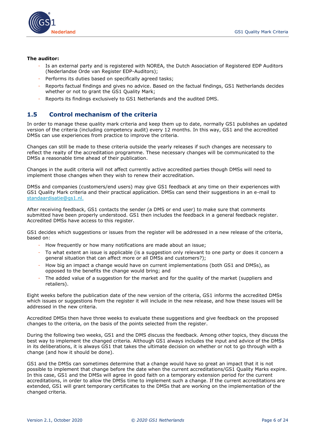

#### **The auditor:**

- Is an external party and is registered with NOREA, the Dutch Association of Registered EDP Auditors (Nederlandse Orde van Register EDP-Auditors);
- Performs its duties based on specifically agreed tasks;
- Reports factual findings and gives no advice. Based on the factual findings, GS1 Netherlands decides whether or not to grant the GS1 Quality Mark;
- Reports its findings exclusively to GS1 Netherlands and the audited DMS.

# <span id="page-5-0"></span>**1.5 Control mechanism of the criteria**

In order to manage these quality mark criteria and keep them up to date, normally GS1 publishes an updated version of the criteria (including competency audit) every 12 months. In this way, GS1 and the accredited DMSs can use experiences from practice to improve the criteria.

Changes can still be made to these criteria outside the yearly releases if such changes are necessary to reflect the reaity of the accreditation programme. These necessary changes will be communicated to the DMSs a reasonable time ahead of their publication.

Changes in the audit criteria will not affect currently active accredited parties though DMSs will need to implement those changes when they wish to renew their accreditation.

DMSs and companies (customers/end users) may give GS1 feedback at any time on their experiences with GS1 Quality Mark criteria and their practical application. DMSs can send their suggestions in an e-mail to [standaardisatie@gs1.nl.](mailto:standaardisatie@gs1.nl)

After receiving feedback, GS1 contacts the sender (a DMS or end user) to make sure that comments submitted have been properly understood. GS1 then includes the feedback in a general feedback register. Accredited DMSs have access to this register.

GS1 decides which suggestions or issues from the register will be addressed in a new release of the criteria, based on:

- How frequently or how many notifications are made about an issue;
- To what extent an issue is applicable (is a suggestion only relevant to one party or does it concern a general situation that can affect more or all DMSs and customers?);
- How big an impact a change would have on current implementations (both GS1 and DMSs), as opposed to the benefits the change would bring; and
- The added value of a suggestion for the market and for the quality of the market (suppliers and retailers).

Eight weeks before the publication date of the new version of the criteria, GS1 informs the accredited DMSs which issues or suggestions from the register it will include in the new release, and how these issues will be addressed in the new criteria.

Accredited DMSs then have three weeks to evaluate these suggestions and give feedback on the proposed changes to the criteria, on the basis of the points selected from the register.

During the following two weeks, GS1 and the DMS discuss the feedback. Among other topics, they discuss the best way to implement the changed criteria. Although GS1 always includes the input and advice of the DMSs in its deliberations, it is always GS1 that takes the ultimate decision on whether or not to go through with a change (and how it should be done).

GS1 and the DMSs can sometimes determine that a change would have so great an impact that it is not possible to implement that change before the date when the current accreditations/GS1 Quality Marks expire. In this case, GS1 and the DMSs will agree in good faith on a temporary extension period for the current accreditations, in order to allow the DMSs time to implement such a change. If the current accreditations are extended, GS1 will grant temporary certificates to the DMSs that are working on the implementation of the changed criteria.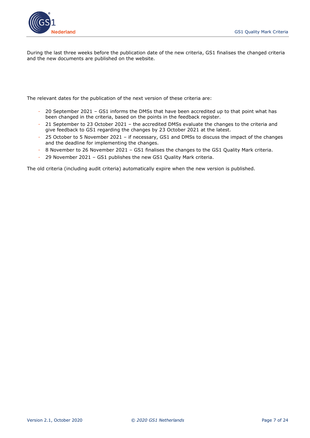

During the last three weeks before the publication date of the new criteria, GS1 finalises the changed criteria and the new documents are published on the website.

The relevant dates for the publication of the next version of these criteria are:

- 20 September 2021 GS1 informs the DMSs that have been accredited up to that point what has been changed in the criteria, based on the points in the feedback register.
- 21 September to 23 October 2021 the accredited DMSs evaluate the changes to the criteria and give feedback to GS1 regarding the changes by 23 October 2021 at the latest.
- 25 October to 5 November 2021 if necessary, GS1 and DMSs to discuss the impact of the changes and the deadline for implementing the changes.
- 8 November to 26 November 2021 GS1 finalises the changes to the GS1 Quality Mark criteria.
- 29 November 2021 GS1 publishes the new GS1 Quality Mark criteria.

The old criteria (including audit criteria) automatically expire when the new version is published.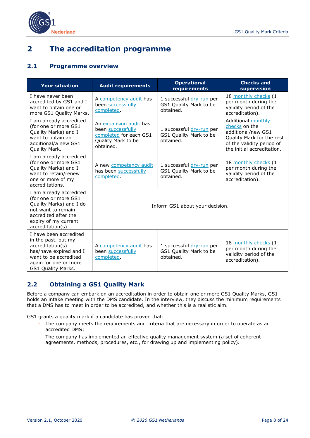

# <span id="page-7-0"></span>**2 The accreditation programme**

# <span id="page-7-1"></span>**2.1 Programme overview**

| <b>Your situation</b>                                                                                                                                                    | <b>Audit requirements</b>                                                                                | <b>Operational</b><br>requirements                              | <b>Checks and</b><br>supervision                                                                                                                         |
|--------------------------------------------------------------------------------------------------------------------------------------------------------------------------|----------------------------------------------------------------------------------------------------------|-----------------------------------------------------------------|----------------------------------------------------------------------------------------------------------------------------------------------------------|
| I have never been<br>accredited by GS1 and I<br>want to obtain one or<br>more GS1 Quality Marks.                                                                         | A competency audit has<br>been successfully<br>completed.                                                | 1 successful dry-run per<br>GS1 Quality Mark to be<br>obtained. | 18 monthly checks (1<br>per month during the<br>validity period of the<br>accreditation).                                                                |
| I am already accredited<br>(for one or more GS1<br>Quality Marks) and I<br>want to obtain an<br>additional/a new GS1<br>Quality Mark.                                    | An expansion audit has<br>been successfully<br>completed for each GS1<br>Quality Mark to be<br>obtained. | 1 successful dry-run per<br>GS1 Quality Mark to be<br>obtained. | <b>Additional monthly</b><br>checks on the<br>additional/new GS1<br>Quality Mark for the rest<br>of the validity period of<br>the initial accreditation. |
| I am already accredited<br>(for one or more GS1<br>Quality Marks) and I<br>want to retain/renew<br>one or more of my<br>accreditations.                                  | A new competency audit<br>has been successfully<br>completed.                                            | 1 successful dry-run per<br>GS1 Quality Mark to be<br>obtained. | 18 monthly checks (1<br>per month during the<br>validity period of the<br>accreditation).                                                                |
| I am already accredited<br>(for one or more GS1<br>Quality Marks) and I do<br>not want to remain<br>accredited after the<br>expiry of my current<br>$accreditation(s)$ . | Inform GS1 about your decision.                                                                          |                                                                 |                                                                                                                                                          |
| I have been accredited<br>in the past, but my<br>accreditation(s)<br>has/have expired and I<br>want to be accredited<br>again for one or more<br>GS1 Quality Marks.      | A competency audit has<br>been successfully<br>completed.                                                | 1 successful dry-run per<br>GS1 Quality Mark to be<br>obtained. | 18 monthly checks (1<br>per month during the<br>validity period of the<br>accreditation).                                                                |

# <span id="page-7-2"></span>**2.2 Obtaining a GS1 Quality Mark**

Before a company can embark on an accreditation in order to obtain one or more GS1 Quality Marks, GS1 holds an intake meeting with the DMS candidate. In the interview, they discuss the minimum requirements that a DMS has to meet in order to be accredited, and whether this is a realistic aim.

GS1 grants a quality mark if a candidate has proven that:

- The company meets the requirements and criteria that are necessary in order to operate as an accredited DMS;
- The company has implemented an effective quality management system (a set of coherent agreements, methods, procedures, etc., for drawing up and implementing policy).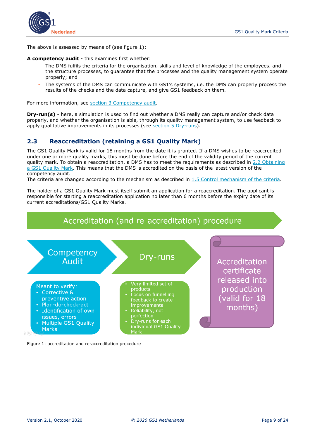

The above is assessed by means of (see figure 1):

#### **A competency audit** - this examines first whether:

- The DMS fulfils the criteria for the organisation, skills and level of knowledge of the employees, and the structure processes, to guarantee that the processes and the quality management system operate properly; and
- The systems of the DMS can communicate with GS1's systems, i.e. the DMS can properly process the results of the checks and the data capture, and give GS1 feedback on them.

For more information, see [section 3 Competency audit.](#page-15-0)

**Dry-run(s)** - here, a simulation is used to find out whether a DMS really can capture and/or check data properly, and whether the organisation is able, through its quality management system, to use feedback to apply qualitative improvements in its processes (see [section 5 Dry-runs\)](#page-18-0).

## <span id="page-8-0"></span>**2.3 Reaccreditation (retaining a GS1 Quality Mark)**

The GS1 Quality Mark is valid for 18 months from the date it is granted. If a DMS wishes to be reaccredited under one or more quality marks, this must be done before the end of the validity period of the current quality mark. To obtain a reaccreditation, a DMS has to meet the requirements as described in [2.2](#page-7-2) Obtaining a GS1 Quality Mark. This means that the DMS is accredited on the basis of the latest version of the competency audit.

The criteria are changed according to the mechanism as described in [1.5](#page-5-0) Control mechanism of the criteria.

The holder of a GS1 Quality Mark must itself submit an application for a reaccreditation. The applicant is responsible for starting a reaccreditation application no later than 6 months before the expiry date of its current accreditations/GS1 Quality Marks.



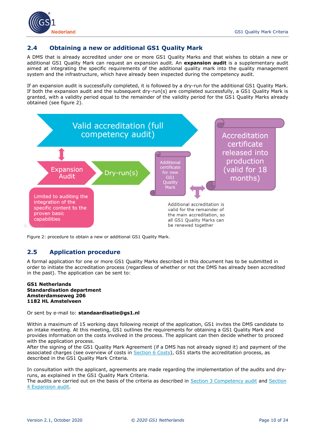

### <span id="page-9-0"></span>**2.4 Obtaining a new or additional GS1 Quality Mark**

A DMS that is already accredited under one or more GS1 Quality Marks and that wishes to obtain a new or additional GS1 Quality Mark can request an expansion audit. An **expansion audit** is a supplementary audit aimed at integrating the specific requirements of the additional quality mark into the quality management system and the infrastructure, which have already been inspected during the competency audit.

If an expansion audit is successfully completed, it is followed by a dry-run for the additional GS1 Quality Mark. If both the expansion audit and the subsequent dry-run(s) are completed successfully, a GS1 Quality Mark is granted, with a validity period equal to the remainder of the validity period for the GS1 Quality Marks already obtained (see figure 2).



<span id="page-9-1"></span>Figure 2: procedure to obtain a new or additional GS1 Quality Mark*.*

# **2.5 Application procedure**

A formal application for one or more GS1 Quality Marks described in this document has to be submitted in order to initiate the accreditation process (regardless of whether or not the DMS has already been accredited in the past). The application can be sent to:

#### **GS1 Netherlands Standardisation department Amsterdamseweg 206 1182 HL Amstelveen**

Or sent by e-mail to: **standaardisatie@gs1.nl**

Within a maximum of 15 working days following receipt of the application, GS1 invites the DMS candidate to an intake meeting. At this meeting, GS1 outlines the requirements for obtaining a GS1 Quality Mark and provides information on the costs involved in the process. The applicant can then decide whether to proceed with the application process.

After the signing of the GS1 Quality Mark Agreement (if a DMS has not already signed it) and payment of the associated charges (see overview of costs in [Section 6 Costs\)](#page-22-2), GS1 starts the accreditation process, as described in the GS1 Quality Mark Criteria.

In consultation with the applicant, agreements are made regarding the implementation of the audits and dryruns, as explained in the GS1 Quality Mark Criteria.

The audits are carried out on the basis of the criteria as described in [Section 3 Competency audit](#page-15-0) and [Section](#page-17-0)  [4 Expansion](#page-17-0) audit.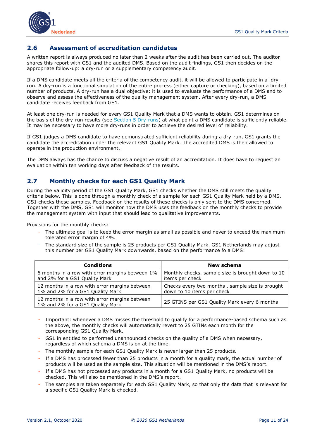

### <span id="page-10-0"></span>**2.6 Assessment of accreditation candidates**

A written report is always produced no later than 2 weeks after the audit has been carried out. The auditor shares this report with GS1 and the audited DMS. Based on the audit findings, GS1 then decides on the appropriate follow-up: a dry-run or a supplementary competency audit.

If a DMS candidate meets all the criteria of the competency audit, it will be allowed to participate in a dryrun. A dry-run is a functional simulation of the entire process (either capture or checking), based on a limited number of products. A dry-run has a dual objective: it is used to evaluate the performance of a DMS and to observe and assess the effectiveness of the quality management system. After every dry-run, a DMS candidate receives feedback from GS1.

At least one dry-run is needed for every GS1 Quality Mark that a DMS wants to obtain. GS1 determines on the basis of the dry-run results (see [Section 5 Dry-runs\)](#page-18-0) at what point a DMS candidate is sufficiently reliable. It may be necessary to have more dry-runs in order to achieve the desired level of reliability.

If GS1 judges a DMS candidate to have demonstrated sufficient reliability during a dry-run, GS1 grants the candidate the accreditation under the relevant GS1 Quality Mark. The accredited DMS is then allowed to operate in the production environment.

The DMS always has the chance to discuss a negative result of an accreditation. It does have to request an evaluation within ten working days after feedback of the results.

# <span id="page-10-1"></span>**2.7 Monthly checks for each GS1 Quality Mark**

During the validity period of the GS1 Quality Mark, GS1 checks whether the DMS still meets the quality criteria below. This is done through a monthly check of a sample for each GS1 Quality Mark held by a DMS. GS1 checks these samples. Feedback on the results of these checks is only sent to the DMS concerned. Together with the DMS, GS1 will monitor how the DMS uses the feedback on the monthly checks to provide the management system with input that should lead to qualitative improvements.

Provisions for the monthly checks:

- The ultimate goal is to keep the error margin as small as possible and never to exceed the maximum tolerated error margin of 4%.
- The standard size of the sample is 25 products per GS1 Quality Mark. GS1 Netherlands may adjust this number per GS1 Quality Mark downwards, based on the performance fo a DMS:

| <b>Conditions</b>                                                                 | New schema                                        |
|-----------------------------------------------------------------------------------|---------------------------------------------------|
| 6 months in a row with error margins between 1%                                   | Monthly checks, sample size is brought down to 10 |
| and 2% for a GS1 Quality Mark                                                     | items per check                                   |
| 12 months in a row with error margins between                                     | Checks every two months, sample size is brought   |
| 1% and 2% for a GS1 Quality Mark                                                  | down to 10 items per check                        |
| 12 months in a row with error margins between<br>1% and 2% for a GS1 Quality Mark | 25 GTINS per GS1 Quality Mark every 6 months      |

- Important: whenever a DMS misses the threshold to qualify for a performance-based schema such as the above, the monthly checks will automatically revert to 25 GTINs each month for the corresponding GS1 Quality Mark.
- GS1 in entitled to performed unannounced checks on the quality of a DMS when necessary, regardless of which schema a DMS is on at the time.
- The monthly sample for each GS1 Quality Mark is never larger than 25 products.
- If a DMS has processed fewer than 25 products in a month for a quality mark, the actual number of products will be used as the sample size. This situation will be mentioned in the DMS's report.
- If a DMS has not processed any products in a month for a GS1 Quality Mark, no products will be checked. This will also be mentioned in the DMS's report.
- The samples are taken separately for each GS1 Quality Mark, so that only the data that is relevant for a specific GS1 Quality Mark is checked.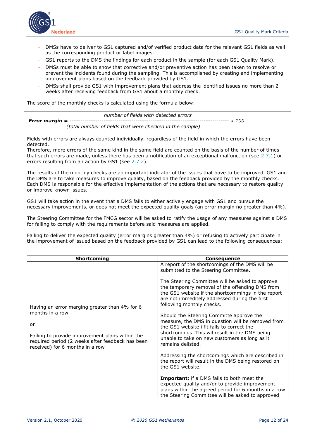

- DMSs have to deliver to GS1 captured and/of verified product data for the relevant GS1 fields as well as the corresponding product or label images.
- GS1 reports to the DMS the findings for each product in the sample (for each GS1 Quality Mark).
- DMSs must be able to show that corrective and/or preventive action has been taken to resolve or prevent the incidents found during the sampling. This is accomplished by creating and implementing improvement plans based on the feedback provided by GS1.
- DMSs shall provide GS1 with improvement plans that address the identified issues no more than 2 weeks after receiving feedback from GS1 about a monthly check.

The score of the monthly checks is calculated using the formula below:

 *number of fields with detected errors Error margin = --------------------------------------------------------------------------- x 100 (total number of fields that were checked in the sample)*

Fields with errors are always counted individually, regardless of the field in which the errors have been detected.

Therefore, more errors of the same kind in the same field are counted on the basis of the number of times that such errors are made, unless there has been a notification of an exceptional malfunction (see  $\frac{2.7.1}{2}$ ) or errors resulting from an action by GS1 (see  $2.7.2$ ).

The results of the monthly checks are an important indicator of the issues that have to be improved. GS1 and the DMS are to take measures to improve quality, based on the feedback provided by the monthly checks. Each DMS is responsible for the effective implementation of the actions that are necessary to restore quality or improve known issues.

GS1 will take action in the event that a DMS fails to either actively engage with GS1 and pursue the necessary improvements, or does not meet the expected quality goals (an error margin no greater than 4%).

The Steering Committee for the FMCG sector will be asked to ratify the usage of any measures against a DMS for failing to comply with the requirements before said measures are applied.

Failing to deliver the expected quality (error margins greater than 4%) or refusing to actively participate in the improvement of issued based on the feedback provided by GS1 can lead to the following consequences:

| <b>Shortcoming</b>                                                                                                        | <b>Consequence</b>                                                                                                                                                                                                                                                                                                                                                                                                                                                                                                                 |
|---------------------------------------------------------------------------------------------------------------------------|------------------------------------------------------------------------------------------------------------------------------------------------------------------------------------------------------------------------------------------------------------------------------------------------------------------------------------------------------------------------------------------------------------------------------------------------------------------------------------------------------------------------------------|
| Having an error marging greater than 4% for 6<br>months in a row<br>or<br>Failing to provide improvement plans within the | A report of the shortcomings of the DMS will be<br>submitted to the Steering Committee.<br>The Steering Committee will be asked to approve<br>the temporary removal of the offending DMS from<br>the GS1 website if the shortcommings in the report<br>are not immeditely addressed during the first<br>following monthly checks.<br>Should the Steering Committe approve the<br>measure, the DMS in question will be removed from<br>the GS1 website i fit fails to correct the<br>shortcomings. This wil result in the DMS being |
| required period (2 weeks after feedback has been<br>received) for 6 months in a row                                       | unable to take on new customers as long as it<br>remains delisted.<br>Addressing the shortcomings which are described in<br>the report will result in the DMS being restored on<br>the GS1 website.<br><b>Important:</b> if a DMS fails to both meet the<br>expected quality and/or to provide improvement<br>plans within the agreed period for 6 months in a row<br>the Steering Committee will be asked to approved                                                                                                             |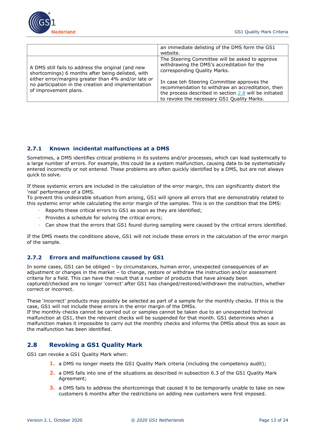

|                                                                                                                                                                                                                                                | an immediate delisting of the DMS form the GS1<br>website.                                                                                                                                                                                                                                                                                   |
|------------------------------------------------------------------------------------------------------------------------------------------------------------------------------------------------------------------------------------------------|----------------------------------------------------------------------------------------------------------------------------------------------------------------------------------------------------------------------------------------------------------------------------------------------------------------------------------------------|
| A DMS still fails to address the original (and new<br>shortcomings) 6 months after being delisted, with<br>either error/margins greater than 4% and/or late or<br>no participation in the creation and implementation<br>of improvement plans. | The Steering Committee will be asked to approve<br>withdrawing the DMS's accreditation for the<br>corresponding Quality Marks.<br>In case teh Steering Committee approves the<br>recommendation to withdraw an accreditation, then<br>the process described in section $2.8$ will be initiated<br>to revoke the necessary GS1 Quality Marks. |

## <span id="page-12-0"></span>**2.7.1 Known incidental malfunctions at a DMS**

Sometimes, a DMS identifies critical problems in its systems and/or processes, which can lead systemically to a large number of errors. For example, this could be a system malfunction, causing data to be systematically entered incorrectly or not entered. These problems are often quickly identified by a DMS, but are not always quick to solve.

If these systemic errors are included in the calculation of the error margin, this can significantly distort the 'real' performance of a DMS.

To prevent this undesirable situation from arising, GS1 will ignore all errors that are demonstrably related to this systemic error while calculating the error margin of the samples. This is on the condition that the DMS:

- Reports these critical errors to GS1 as soon as they are identified;
- Provides a schedule for solving the critical errors;
- Can show that the errors that GS1 found during sampling were caused by the critical errors identified.

If the DMS meets the conditions above, GS1 will not include these errors in the calculation of the error margin of the sample.

#### <span id="page-12-1"></span>**2.7.2 Errors and malfunctions caused by GS1**

In some cases, GS1 can be obliged – by circumstances, human error, unexpected consequences of an adjustment or changes in the market – to change, restore or withdraw the instruction and/or assessment criteria for a field. This can have the result that a number of products that have already been captured/checked are no longer 'correct' after GS1 has changed/restored/withdrawn the instruction, whether correct or incorrect.

These 'incorrect' products may possibly be selected as part of a sample for the monthly checks. If this is the case, GS1 will not include these errors in the error margin of the DMSs.

If the monthly checks cannot be carried out or samples cannot be taken due to an unexpected technical malfunction at GS1, then the relevant checks will be suspended for that month. GS1 determines when a malfunction makes it impossible to carry out the monthly checks and informs the DMSs about this as soon as the malfunction has been identified.

# <span id="page-12-2"></span>**2.8 Revoking a GS1 Quality Mark**

GS1 can revoke a GS1 Quality Mark when:

- **1.** a DMS no longer meets the GS1 Quality Mark criteria (including the competency audit);
- **2.** a DMS falls into one of the situations as described in subsection 6.3 of the GS1 Quality Mark Agreement;
- **3.** a DMS fails to address the shortcomings that caused it to be temporarily unable to take on new customers 6 months after the restrictions on adding new customers were first imposed.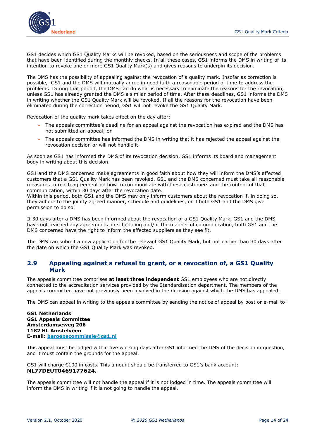

GS1 decides which GS1 Quality Marks will be revoked, based on the seriousness and scope of the problems that have been identified during the monthly checks. In all these cases, GS1 informs the DMS in writing of its intention to revoke one or more GS1 Quality Mark(s) and gives reasons to underpin its decision.

The DMS has the possibility of appealing against the revocation of a quality mark. Insofar as correction is possible, GS1 and the DMS will mutually agree in good faith a reasonable period of time to address the problems. During that period, the DMS can do what is necessary to eliminate the reasons for the revocation, unless GS1 has already granted the DMS a similar period of time. After these deadlines, GS1 informs the DMS in writing whether the GS1 Quality Mark will be revoked. If all the reasons for the revocation have been eliminated during the correction period, GS1 will not revoke the GS1 Quality Mark.

Revocation of the quality mark takes effect on the day after:

- The appeals committee's deadline for an appeal against the revocation has expired and the DMS has not submitted an appeal; or
- The appeals committee has informed the DMS in writing that it has rejected the appeal against the revocation decision or will not handle it.

As soon as GS1 has informed the DMS of its revocation decision, GS1 informs its board and management body in writing about this decision.

GS1 and the DMS concerned make agreements in good faith about how they will inform the DMS's affected customers that a GS1 Quality Mark has been revoked. GS1 and the DMS concerned must take all reasonable measures to reach agreement on how to communicate with these customers and the content of that communication, within 30 days after the revocation date.

Within this period, both GS1 and the DMS may only inform customers about the revocation if, in doing so, they adhere to the jointly agreed manner, schedule and guidelines, or if both GS1 and the DMS give permission to do so.

If 30 days after a DMS has been informed about the revocation of a GS1 Quality Mark, GS1 and the DMS have not reached any agreements on scheduling and/or the manner of communication, both GS1 and the DMS concerned have the right to inform the affected suppliers as they see fit.

The DMS can submit a new application for the relevant GS1 Quality Mark, but not earlier than 30 days after the date on which the GS1 Quality Mark was revoked.

### <span id="page-13-0"></span>**2.9 Appealing against a refusal to grant, or a revocation of, a GS1 Quality Mark**

The appeals committee comprises **at least three independent** GS1 employees who are not directly connected to the accreditation services provided by the Standardisation department. The members of the appeals committee have not previously been involved in the decision against which the DMS has appealed.

The DMS can appeal in writing to the appeals committee by sending the notice of appeal by post or e-mail to:

**GS1 Netherlands GS1 Appeals Committee Amsterdamseweg 206 1182 HL Amstelveen E-mail: [beroepscommissie@gs1.nl](mailto:beroepscommissie@gs1.nl)**

This appeal must be lodged within five working days after GS1 informed the DMS of the decision in question, and it must contain the grounds for the appeal.

GS1 will charge €100 in costs. This amount should be transferred to GS1's bank account: **NL77DEUT0469177624.**

The appeals committee will not handle the appeal if it is not lodged in time. The appeals committee will inform the DMS in writing if it is not going to handle the appeal.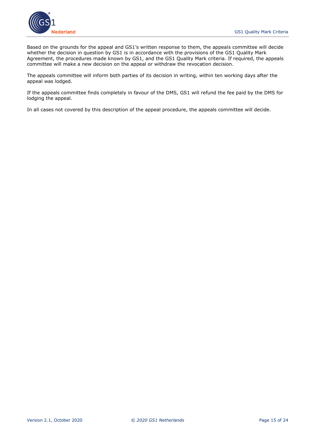

Based on the grounds for the appeal and GS1's written response to them, the appeals committee will decide whether the decision in question by GS1 is in accordance with the provisions of the GS1 Quality Mark Agreement, the procedures made known by GS1, and the GS1 Quality Mark criteria. If required, the appeals committee will make a new decision on the appeal or withdraw the revocation decision.

The appeals committee will inform both parties of its decision in writing, within ten working days after the appeal was lodged.

If the appeals committee finds completely in favour of the DMS, GS1 will refund the fee paid by the DMS for lodging the appeal.

In all cases not covered by this description of the appeal procedure, the appeals committee will decide.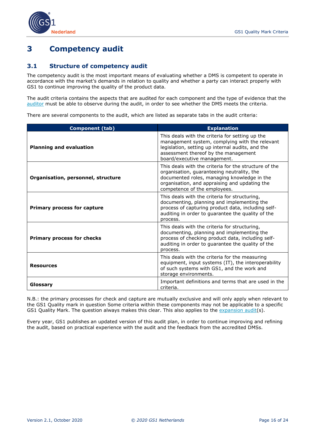



# <span id="page-15-0"></span>**3 Competency audit**

### <span id="page-15-1"></span>**3.1 Structure of competency audit**

The competency audit is the most important means of evaluating whether a DMS is competent to operate in accordance with the market's demands in relation to quality and whether a party can interact properly with GS1 to continue improving the quality of the product data.

The audit criteria contains the aspects that are audited for each component and the type of evidence that the [auditor](#page-4-0) must be able to observe during the audit, in order to see whether the DMS meets the criteria.

There are several components to the audit, which are listed as separate tabs in the audit criteria:

| <b>Component (tab)</b>             | <b>Explanation</b>                                                                                                                                                                                                                  |
|------------------------------------|-------------------------------------------------------------------------------------------------------------------------------------------------------------------------------------------------------------------------------------|
| <b>Planning and evaluation</b>     | This deals with the criteria for setting up the<br>management system, complying with the relevant<br>legislation, setting up internal audits, and the<br>assessment thereof by the management<br>board/executive management.        |
| Organisation, personnel, structure | This deals with the criteria for the structure of the<br>organisation, guaranteeing neutrality, the<br>documented roles, managing knowledge in the<br>organisation, and appraising and updating the<br>competence of the employees. |
| <b>Primary process for capture</b> | This deals with the criteria for structuring,<br>documenting, planning and implementing the<br>process of capturing product data, including self-<br>auditing in order to guarantee the quality of the<br>process.                  |
| <b>Primary process for checks</b>  | This deals with the criteria for structuring,<br>documenting, planning and implementing the<br>process of checking product data, including self-<br>auditing in order to guarantee the quality of the<br>process.                   |
| <b>Resources</b>                   | This deals with the criteria for the measuring<br>equipment, input systems (IT), the interoperability<br>of such systems with GS1, and the work and<br>storage environments.                                                        |
| Glossary                           | Important definitions and terms that are used in the<br>criteria.                                                                                                                                                                   |

N.B.: the primary processes for check and capture are mutually exclusive and will only apply when relevant to the GS1 Quality mark in question Some criteria within these components may not be applicable to a specific GS1 Quality Mark. The question always makes this clear. This also applies to the [expansion audit\(](#page-17-0)s).

Every year, GS1 publishes an updated version of this audit plan, in order to continue improving and refining the audit, based on practical experience with the audit and the feedback from the accredited DMSs.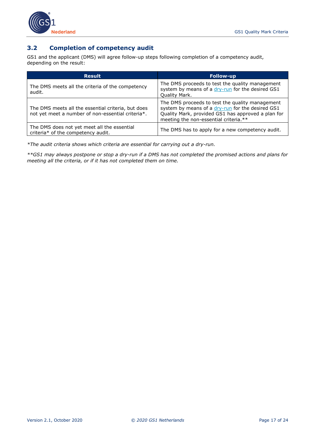



# <span id="page-16-0"></span>**3.2 Completion of competency audit**

GS1 and the applicant (DMS) will agree follow-up steps following completion of a competency audit, depending on the result:

| <b>Result</b>                                                                                           | <b>Follow-up</b>                                                                                                                                                                                   |
|---------------------------------------------------------------------------------------------------------|----------------------------------------------------------------------------------------------------------------------------------------------------------------------------------------------------|
| The DMS meets all the criteria of the competency<br>audit.                                              | The DMS proceeds to test the quality management<br>system by means of a dry-run for the desired GS1<br>Quality Mark.                                                                               |
| The DMS meets all the essential criteria, but does<br>not yet meet a number of non-essential criteria*. | The DMS proceeds to test the quality management<br>system by means of a dry-run for the desired GS1<br>Quality Mark, provided GS1 has approved a plan for<br>meeting the non-essential criteria.** |
| The DMS does not yet meet all the essential<br>criteria* of the competency audit.                       | The DMS has to apply for a new competency audit.                                                                                                                                                   |

*\*The audit criteria shows which criteria are essential for carrying out a dry-run.* 

*\*\*GS1 may always postpone or stop a dry-run if a DMS has not completed the promised actions and plans for meeting all the criteria, or if it has not completed them on time.*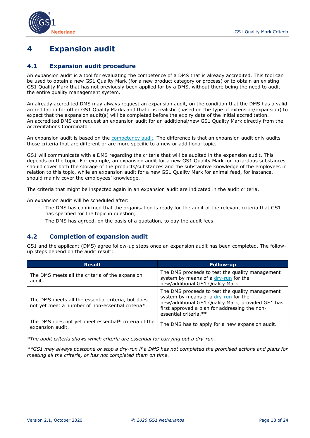

# <span id="page-17-0"></span>**4 Expansion audit**

### <span id="page-17-1"></span>**4.1 Expansion audit procedure**

An expansion audit is a tool for evaluating the competence of a DMS that is already accredited. This tool can be used to obtain a new GS1 Quality Mark (for a new product category or process) or to obtain an existing GS1 Quality Mark that has not previously been applied for by a DMS, without there being the need to audit the entire quality management system.

An already accredited DMS may always request an expansion audit, on the condition that the DMS has a valid accreditation for other GS1 Quality Marks and that it is realistic (based on the type of extension/expansion) to expect that the expansion audit(s) will be completed before the expiry date of the initial accreditation. An accredited DMS can request an expansion audit for an additional/new GS1 Quality Mark directly from the Accreditations Coordinator.

An expansion audit is based on the [competency audit](#page-15-0)*.* The difference is that an expansion audit only audits those criteria that are different or are more specific to a new or additional topic.

GS1 will communicate with a DMS regarding the criteria that will be audited in the expansion audit. This depends on the topic. For example, an expansion audit for a new GS1 Quality Mark for hazardous substances should cover both the storage of the products/substances and the substantive knowledge of the employees in relation to this topic, while an expansion audit for a new GS1 Quality Mark for animal feed, for instance, should mainly cover the employees' knowledge.

The criteria that might be inspected again in an expansion audit are indicated in the audit criteria.

An expansion audit will be scheduled after:

- The DMS has confirmed that the organisation is ready for the audit of the relevant criteria that GS1 has specified for the topic in question;
- The DMS has agreed, on the basis of a quotation, to pay the audit fees.

# <span id="page-17-2"></span>**4.2 Completion of expansion audit**

GS1 and the applicant (DMS) agree follow-up steps once an expansion audit has been completed. The followup steps depend on the audit result:

| <b>Result</b>                                                                                           | <b>Follow-up</b>                                                                                                                                                                                                       |
|---------------------------------------------------------------------------------------------------------|------------------------------------------------------------------------------------------------------------------------------------------------------------------------------------------------------------------------|
| The DMS meets all the criteria of the expansion<br>audit.                                               | The DMS proceeds to test the quality management<br>system by means of a dry-run for the<br>new/additional GS1 Quality Mark.                                                                                            |
| The DMS meets all the essential criteria, but does<br>not yet meet a number of non-essential criteria*. | The DMS proceeds to test the quality management<br>system by means of a dry-run for the<br>new/additional GS1 Quality Mark, provided GS1 has<br>first approved a plan for addressing the non-<br>essential criteria.** |
| The DMS does not yet meet essential* criteria of the<br>expansion audit.                                | The DMS has to apply for a new expansion audit.                                                                                                                                                                        |

*\*The audit criteria shows which criteria are essential for carrying out a dry-run.* 

*\*\*GS1 may always postpone or stop a dry-run if a DMS has not completed the promised actions and plans for meeting all the criteria, or has not completed them on time.*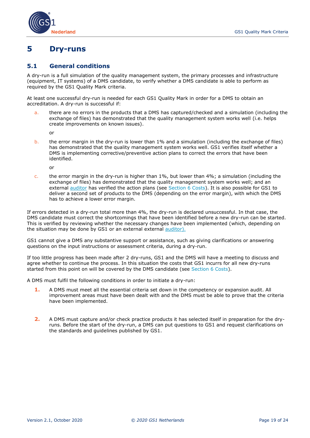

# <span id="page-18-0"></span>**5 Dry-runs**

#### <span id="page-18-1"></span>**5.1 General conditions**

A dry-run is a full simulation of the quality management system, the primary processes and infrastructure (equipment, IT systems) of a DMS candidate, to verify whether a DMS candidate is able to perform as required by the GS1 Quality Mark criteria.

At least one successful dry-run is needed for each GS1 Quality Mark in order for a DMS to obtain an accreditation. A dry-run is successful if:

a. there are no errors in the products that a DMS has captured/checked and a simulation (including the exchange of files) has demonstrated that the quality management system works well (i.e. helps create improvements on known issues).

or

b. the error margin in the dry-run is lower than 1% and a simulation (including the exchange of files) has demonstrated that the quality management system works well. GS1 verifies itself whether a DMS is implementing corrective/preventive action plans to correct the errors that have been identified.

or

c. the error margin in the dry-run is higher than  $1\%$ , but lower than  $4\%$ ; a simulation (including the exchange of files) has demonstrated that the quality management system works well; and an external [auditor](#page-4-0) has verified the action plans (see Section [6 Costs\)](#page-22-0). It is also possible for GS1 to deliver a second set of products to the DMS (depending on the error margin), with which the DMS has to achieve a lower error margin.

If errors detected in a dry-run total more than 4%, the dry-run is declared unsuccessful. In that case, the DMS candidate must correct the shortcomings that have been identified before a new dry-run can be started. This is verified by reviewing whether the necessary changes have been implemented (which, depending on the situation may be done by GS1 or an external external [auditor\)](#page-4-0).

GS1 cannot give a DMS any substantive support or assistance, such as giving clarifications or answering questions on the input instructions or assessment criteria, during a dry-run.

If too little progress has been made after 2 dry-runs, GS1 and the DMS will have a meeting to discuss and agree whether to continue the process. In this situation the costs that GS1 incurrs for all new dry-runs started from this point on will be covered by the DMS candidate (see Section [6 Costs\)](#page-22-0).

A DMS must fulfil the following conditions in order to initiate a dry-run:

- **1.** A DMS must meet all the essential criteria set down in the competency or expansion audit. All improvement areas must have been dealt with and the DMS must be able to prove that the criteria have been implemented.
- **2.** A DMS must capture and/or check practice products it has selected itself in preparation for the dryruns. Before the start of the dry-run, a DMS can put questions to GS1 and request clarifications on the standards and guidelines published by GS1.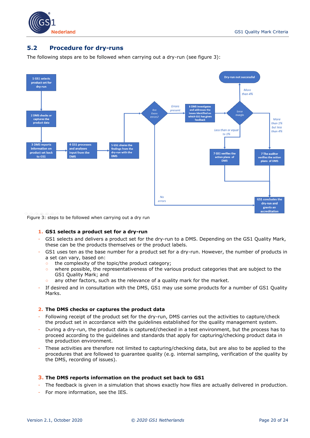

### <span id="page-19-0"></span>**5.2 Procedure for dry-runs**

The following steps are to be followed when carrying out a dry-run (see figure 3):



Figure 3: steps to be followed when carrying out a dry run

#### **1. GS1 selects a product set for a dry-run**

- GS1 selects and delivers a product set for the dry-run to a DMS. Depending on the GS1 Quality Mark, these can be the products themselves or the product labels.
- GS1 uses ten as the base number for a product set for a dry-run. However, the number of products in a set can vary, based on:
	- the complexity of the topic/the product category;
	- where possible, the representativeness of the various product categories that are subject to the GS1 Quality Mark; and
	- any other factors, such as the relevance of a quality mark for the market.
- If desired and in consultation with the DMS, GS1 may use some products for a number of GS1 Quality Marks.

#### **2. The DMS checks or captures the product data**

- Following receipt of the product set for the dry-run, DMS carries out the activities to capture/check the product set in accordance with the guidelines established for the quality management system.
- During a dry-run, the product data is captured/checked in a test environment, but the process has to proceed according to the guidelines and standards that apply for capturing/checking product data in the production environment.
- These activities are therefore not limited to capturing/checking data, but are also to be applied to the procedures that are followed to guarantee quality (e.g. internal sampling, verification of the quality by the DMS, recording of issues).

#### **3. The DMS reports information on the product set back to GS1**

- The feedback is given in a simulation that shows exactly how files are actually delivered in production.
- For more information, see the IES.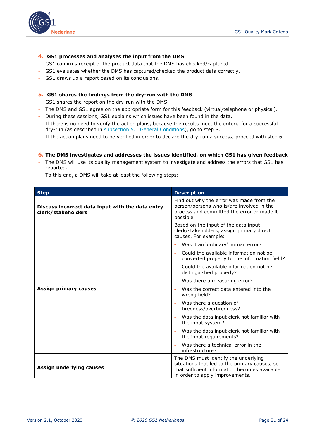

#### **4. GS1 processes and analyses the input from the DMS**

- GS1 confirms receipt of the product data that the DMS has checked/captured.
- GS1 evaluates whether the DMS has captured/checked the product data correctly.
- GS1 draws up a report based on its conclusions.

#### **5. GS1 shares the findings from the dry-run with the DMS**

- GS1 shares the report on the dry-run with the DMS.
- The DMS and GS1 agree on the appropriate form for this feedback (virtual/telephone or physical).
- During these sessions, GS1 explains which issues have been found in the data.
- If there is no need to verify the action plans, because the results meet the criteria for a successful dry-run (as described in [subsection 5.1 General Conditions\)](#page-18-1), go to step 8.
- If the action plans need to be verified in order to declare the dry-run a success, proceed with step 6.

#### **6. The DMS investigates and addresses the issues identified, on which GS1 has given feedback**

- The DMS will use its quality management system to investigate and address the errors that GS1 has reported.
- To this end, a DMS will take at least the following steps:

| <b>Step</b>                                                            | <b>Description</b>                                                                                                                                                        |
|------------------------------------------------------------------------|---------------------------------------------------------------------------------------------------------------------------------------------------------------------------|
| Discuss incorrect data input with the data entry<br>clerk/stakeholders | Find out why the error was made from the<br>person/persons who is/are involved in the<br>process and committed the error or made it<br>possible.                          |
|                                                                        | Based on the input of the data input<br>clerk/stakeholders, assign primary direct<br>causes. For example:                                                                 |
|                                                                        | Was it an 'ordinary' human error?<br>÷                                                                                                                                    |
|                                                                        | Could the available information not be<br>$\bar{a}$<br>converted properly to the information field?                                                                       |
|                                                                        | Could the available information not be<br>$\blacksquare$<br>distinguished properly?                                                                                       |
|                                                                        | Was there a measuring error?<br>$\blacksquare$                                                                                                                            |
| Assign primary causes                                                  | Was the correct data entered into the<br>$\blacksquare$<br>wrong field?                                                                                                   |
|                                                                        | Was there a question of<br>÷<br>tiredness/overtiredness?                                                                                                                  |
|                                                                        | Was the data input clerk not familiar with<br>ä,<br>the input system?                                                                                                     |
|                                                                        | Was the data input clerk not familiar with<br>$\blacksquare$<br>the input requirements?                                                                                   |
|                                                                        | Was there a technical error in the<br>ä,<br>infrastructure?                                                                                                               |
| Assign underlying causes                                               | The DMS must identify the underlying<br>situations that led to the primary causes, so<br>that sufficient information becomes available<br>in order to apply improvements. |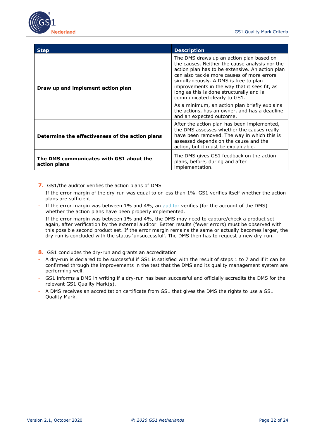

| <b>Step</b>                                             | <b>Description</b>                                                                                                                                                                                                                                                                                                                                               |
|---------------------------------------------------------|------------------------------------------------------------------------------------------------------------------------------------------------------------------------------------------------------------------------------------------------------------------------------------------------------------------------------------------------------------------|
| Draw up and implement action plan                       | The DMS draws up an action plan based on<br>the causes. Neither the cause analysis nor the<br>action plan has to be extensive. An action plan<br>can also tackle more causes of more errors<br>simultaneously. A DMS is free to plan<br>improvements in the way that it sees fit, as<br>long as this is done structurally and is<br>communicated clearly to GS1. |
|                                                         | As a minimum, an action plan briefly explains<br>the actions, has an owner, and has a deadline<br>and an expected outcome.                                                                                                                                                                                                                                       |
| Determine the effectiveness of the action plans         | After the action plan has been implemented,<br>the DMS assesses whether the causes really<br>have been removed. The way in which this is<br>assessed depends on the cause and the<br>action, but it must be explainable.                                                                                                                                         |
| The DMS communicates with GS1 about the<br>action plans | The DMS gives GS1 feedback on the action<br>plans, before, during and after<br>implementation.                                                                                                                                                                                                                                                                   |

**7.** GS1/the auditor verifies the action plans of DMS

- If the error margin of the dry-run was equal to or less than 1%, GS1 verifies itself whether the action plans are sufficient.
- If the error margin was between 1% and 4%, an [auditor](#page-4-0) verifies (for the account of the DMS) whether the action plans have been properly implemented.
- If the error margin was between 1% and 4%, the DMS may need to capture/check a product set again, after verification by the external auditor. Better results (fewer errors) must be observed with this possible second product set. If the error margin remains the same or actually becomes larger, the dry-run is concluded with the status 'unsuccessful'. The DMS then has to request a new dry-run.
- **8.** GS1 concludes the dry-run and grants an accreditation
- A dry-run is declared to be successful if GS1 is satisfied with the result of steps 1 to 7 and if it can be confirmed through the improvements in the test that the DMS and its quality management system are performing well.
- GS1 informs a DMS in writing if a dry-run has been successful and officially accredits the DMS for the relevant GS1 Quality Mark(s).
- A DMS receives an accreditation certificate from GS1 that gives the DMS the rights to use a GS1 Quality Mark.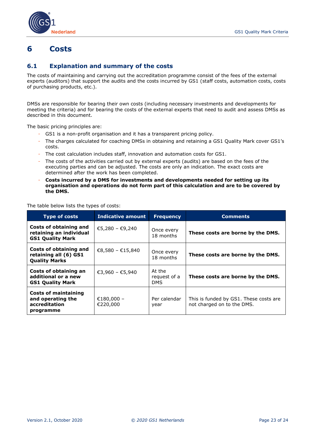

# <span id="page-22-0"></span>**6 Costs**

### <span id="page-22-1"></span>**6.1 Explanation and summary of the costs**

The costs of maintaining and carrying out the accreditation programme consist of the fees of the external experts (auditors) that support the audits and the costs incurred by GS1 (staff costs, automation costs, costs of purchasing products, etc.).

DMSs are responsible for bearing their own costs (including necessary investments and developments for meeting the criteria) and for bearing the costs of the external experts that need to audit and assess DMSs as described in this document.

The basic pricing principles are:

- GS1 is a non-profit organisation and it has a transparent pricing policy.
- The charges calculated for coaching DMSs in obtaining and retaining a GS1 Quality Mark cover GS1's costs.
- The cost calculation includes staff, innovation and automation costs for GS1.
- The costs of the activities carried out by external experts (audits) are based on the fees of the executing parties and can be adjusted. The costs are only an indication. The exact costs are determined after the work has been completed.
- **Costs incurred by a DMS for investments and developments needed for setting up its organisation and operations do not form part of this calculation and are to be covered by the DMS.**

The table below lists the types of costs:

<span id="page-22-2"></span>

| <b>Type of costs</b>                                                           | <b>Indicative amount</b> | <b>Frequency</b>                     | <b>Comments</b>                                                      |
|--------------------------------------------------------------------------------|--------------------------|--------------------------------------|----------------------------------------------------------------------|
| Costs of obtaining and<br>retaining an individual<br><b>GS1 Quality Mark</b>   | €5,280 - €9,240          | Once every<br>18 months              | These costs are borne by the DMS.                                    |
| Costs of obtaining and<br>retaining all (6) GS1<br><b>Quality Marks</b>        | €8,580 - €15,840         | Once every<br>18 months              | These costs are borne by the DMS.                                    |
| Costs of obtaining an<br>additional or a new<br><b>GS1 Quality Mark</b>        | €3,960 - €5,940          | At the<br>request of a<br><b>DMS</b> | These costs are borne by the DMS.                                    |
| <b>Costs of maintaining</b><br>and operating the<br>accreditation<br>programme | €180,000 -<br>€220,000   | Per calendar<br>year                 | This is funded by GS1. These costs are<br>not charged on to the DMS. |